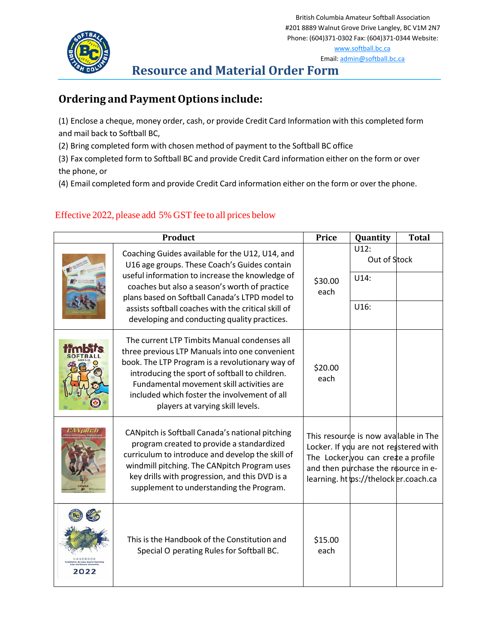

British Columbia Amateur Softball Association #201 8889 Walnut Grove Drive Langley, BC V1M 2N7 Phone: (604)371-0302 Fax: (604)371-0344 Website: [www.softball.bc.ca](http://www.softball.bc.ca/)

Email[: admin@softball.bc.ca](mailto:admin@softball.bc.ca)

**Resource and Material Order Form**

## **Ordering and PaymentOptions include:**

(1) Enclose a cheque, money order, cash, or provide Credit Card Information with this completed form and mail back to Softball BC,

(2) Bring completed form with chosen method of payment to the Softball BC office

(3) Fax completed form to Softball BC and provide Credit Card information either on the form or over the phone, or

(4) Email completed form and provide Credit Card information either on the form or over the phone.

## Effective 2022, please add 5% GST fee to all prices below

| <b>Product</b> |                                                                                                                                                                                                                                                                                                                                                              | <b>Price</b>    | Quantity                                                                                                                                                                                              | <b>Total</b> |
|----------------|--------------------------------------------------------------------------------------------------------------------------------------------------------------------------------------------------------------------------------------------------------------------------------------------------------------------------------------------------------------|-----------------|-------------------------------------------------------------------------------------------------------------------------------------------------------------------------------------------------------|--------------|
|                | Coaching Guides available for the U12, U14, and<br>U16 age groups. These Coach's Guides contain<br>useful information to increase the knowledge of<br>coaches but also a season's worth of practice<br>plans based on Softball Canada's LTPD model to<br>assists softball coaches with the critical skill of<br>developing and conducting quality practices. | \$30.00<br>each | U12:<br>Out of Stock<br>U14:                                                                                                                                                                          |              |
|                |                                                                                                                                                                                                                                                                                                                                                              |                 | U16:                                                                                                                                                                                                  |              |
|                | The current LTP Timbits Manual condenses all<br>three previous LTP Manuals into one convenient<br>book. The LTP Program is a revolutionary way of<br>introducing the sport of softball to children.<br>Fundamental movement skill activities are<br>included which foster the involvement of all<br>players at varying skill levels.                         | \$20.00<br>each |                                                                                                                                                                                                       |              |
|                | CANpitch is Softball Canada's national pitching<br>program created to provide a standardized<br>curriculum to introduce and develop the skill of<br>windmill pitching. The CANpitch Program uses<br>key drills with progression, and this DVD is a<br>supplement to understanding the Program.                                                               |                 | This resourde is now avallable in The<br>Locker. If you are not reastered with<br>The Locker you can create a profile<br>and then purchase the repource in e-<br>learning. https://thelocker.coach.ca |              |
| 2022           | This is the Handbook of the Constitution and<br>Special O perating Rules for Softball BC.                                                                                                                                                                                                                                                                    | \$15.00<br>each |                                                                                                                                                                                                       |              |